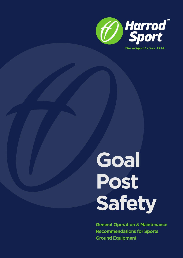

**Goal Post Safety**

**General Operation & Maintenance Recommendations for Sports Ground Equipment**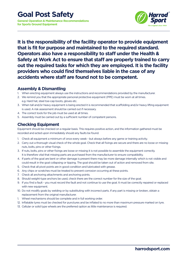**General Operation & Maintenance Recommendations for Sports Ground Equipment**



**It is the responsibility of the facility operator to provide equipment that is fit for purpose and maintained to the required standard. Operators also have a responsibility to staff under the Health & Safety at Work Act to ensure that staff are properly trained to carry out the required tasks for which they are employed. It is the facility providers who could find themselves liable in the case of any accidents where staff are found not to be competent.**

#### **Assembly & Dismantling**

- 1. When erecting equipment always use the instructions and recommendations provided by the manufacturer.
- 2. We remind you that the appropriate personal protective equipment (PPE) must be worn at all times. e.g. Hard hat, steel toe-cap boots, gloves etc.
- 3. When tall and/or heavy equipment is being erected it is recommended that scaffolding and/or heavy lifting equipment is used. A risk assessment should be carried out if necessary.
- 4. The correct tools for the job must be used at all times.
- 5. Assembly must be carried out by a sufficient number of competent persons.

#### **Checking Equipment**

Equipment should be checked on a regular basis. This requires positive action, and the information gathered must be recorded and acted upon immediately should any faults be found.

- 1. Check all equipment a minimum of once every week but always before any game or training activity.
- 2. Carry out a thorough visual check of the whole goal. Check that all fixings are secure and there are no loose or missing nuts, bolts, pins or other fixings.
- 3. If nuts, bolts, pins or other fixings are loose or missing it is not possible to assemble the equipment correctly. It is therefore vital that missing parts are purchased from the manufacturer to ensure compatibility.
- 4. If parts of the goal are bent or other damage is present there may be more damage internally which is not visible and could result in the goal collapsing or tipping. The goal should be taken out of action and removed from site.
- 5. Check that all pivot points are in good condition and lubricated with grease.
- 6. Any chips or scratches must be treated to prevent corrosion occurring at these points.
- 7. Check all anchoring attachments and anchoring points.
- 8. Should weight-type anchors be used, check there are the correct number for the size of the goal.
- 9. If you find a fault you must record the fault and not continue to use the goal. It must be correctly repaired or replaced with new equipment.
- 10. Do not modify goals by welding or by substituting with incorrect parts. If any part is missing or broken, obtain a replacement from the original manufacturer.
- 1. Wheel mechanisms should be complete and in full working order.
- 12. Inflatable tyres must be checked for punctures and be inflated to no more than maximum pressure marked on tyre.
- 13. Cellular or solid type wheels are the preferred option as little maintenance is required.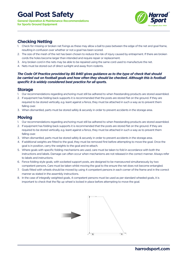## **Goal Post Safety** *the Harroc*

**General Operation & Maintenance Recommendations for Sports Ground Equipment**



#### **Checking Netting** 2) If the change of the posts are commended that the posts are stored that the posts are stored flat on the ground. The ground  $\alpha$

- 1. Check for missing or broken net fixings as these may allow a ball to pass between the edge of the net and goal frame, resulting in confusion over whether or not a goal has been scored.
- resulting in contusion over wnetner or not a goal has been scored.<br>2. The size of the mesh of the net has been chosen to reduce the risk of injury caused by entrapment. If there are broken cords the holes become larger than intended and require repair or replacement.
	- 3. Any broken cord in the nets may be able to be repaired using the same cord used to manufacture the net.
	- 4. Nets must be stored out of direct sunlight and away from rodents.

The Code Of Practice provided by BS 8461 gives guidance as to the type of check that should be carried out on football goals and how often they should be checked. Although this is football *specific it is widely considered best practice for all sports.* 

#### **Storage**

- 1. Our recommendations regarding anchoring must still be adhered to when freestanding products are stored assembled.  $\mathsf{Storage}$  is a cross the ground. Moving equipment in this way is likely to cause  $\mathsf{S}$  to cause  $\mathsf{S}$  to cause  $\mathsf{S}$  to cause  $\mathsf{S}$  to cause  $\mathsf{S}$  to cause  $\mathsf{S}$  to cause  $\mathsf{S}$  to cause  $\mathsf{S}$  to caus
	- i. Our recommendations regarding anchoring must still be adnered to when freestanding products are stored assembled.<br>2. If equipment has folding back supports it is recommended that the posts are stored flat on the ground. required to be stored vertically, e.g. leant against a fence, they must be attached in such a way as to prevent them clear of the ground when it is being moved. falling over.
- ralling over.<br>3. When dismantled, parts must be stored safely & securely in order to prevent accidents in the storage area.

#### **Moving**  $M_{\odot}$  in position, carry the weights to the goal and re-attach.

- 1 **100 mag**<br>1. Our recommendations regarding anchoring must still be adhered to when freestanding products are stored assembled.
	- 2. If equipment has folding back supports it is recommended that the posts are stored flat on the ground. If they are required to be stored vertically, e.g. leant against a fence, they must be attached in such a way as to prevent them<br>falling over. falling over.
- 3. When dismantled, parts must be stored safely & securely in order to prevent accidents in the storage area.<br>4. If additional weights are fitted to the goal they must be manoual first lagfore attenuation to may a the goal
	- 4. If additional weights are fitted to the goal, they must be removed first before attempting to move the goal. Once the mediated in the must be the goal, they made be tend to the best moved the goal is in position, carry the weights to the goal and re-attach.
- 5. Where goals with specific folding mechanisms are used, care must be taken to fold in accordance with both the<br>instructions and labels. Damage ean often eesuruuben mechanisms are not released in the eerrest manner. Abus instructions and labels. Damage can often occur when mechanisms are not released in the correct manner. Always refer to labels and instructions. The moved with when with which with your contribution with the movement persons in each contribution and instructions.
	- 6. Fence folding style goals, with socketed support posts, are designed to be manoeuvred simultaneously by two<br>compatent persons. Care must be taken whilst maxing the goal to the ensure the pot does not become entang competent persons. Care must be taken whilst moving the goal to the ensure the net does not become entangled.
- 7. Goals fitted with wheels should be moved by using 4 competent persons in each corner of the frame and in the correct manner as stated in the assembly instructions.
	- manner as stated in the assembly instructions.<br>8. In the case of integrally weighted goals, 4 competent persons must be used as per standard wheeled goals, it is important to check that the flip up wheel is locked in place before attempting to move the goal.

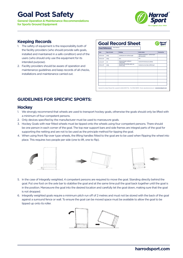#### **Goal Post Safety Harrow Book Cofedy, Edge and Communication of the Communication of the Communication**

**General Operation & Maintenance Recommendations Considering Records and Separations For Sports Ground Equipment**  $\frac{1}{\text{The original since}}$ 

equipment for its intended purpose).



#### **Keeping Records**

- 1. The safety of equipment is the responsibility both of the facility providers (who should provide safe goals, installed and maintained in a safe condition) and of the users (who should only use the equipment for its intended purpose).
- 2. Facility providers should be aware of operation and maintenance guidelines and keep records of all checks, installations and maintenance carried out.

| ponsibility both of<br>provide safe goals,<br>condition) and of the<br>uipment for its | Pilok & Month Food<br><b>Goal Reference</b> |                      |                                                                  |                                                                         |                   |
|----------------------------------------------------------------------------------------|---------------------------------------------|----------------------|------------------------------------------------------------------|-------------------------------------------------------------------------|-------------------|
|                                                                                        | Date                                        | <b>Type of check</b> | <b>Findings</b>                                                  | <b>Action taken</b>                                                     | <b>Checked by</b> |
|                                                                                        | 40% Dec 2048                                | Weekly               | Screetched point work on left hand upright.                      | Pointed over required area - used Harrod Sport<br>white touch up paint. |                   |
|                                                                                        | 48th Dec 2048                               | Weekly               | Allck                                                            | <b>Move</b>                                                             |                   |
|                                                                                        | 2nd Jan 2019                                | Full                 | Good passed strength & stability test -<br>no other problems.    | Full Good Post Risk Assessment undertaken.                              |                   |
| of operation and                                                                       | 40% Jan 2011                                | Weekly               | Goal Net has holes and Iroken meshes, some<br>net hooks missing. | Purchased nearnet and dips and fitted to good.                          |                   |
| records of all checks.                                                                 |                                             |                      |                                                                  |                                                                         |                   |
|                                                                                        |                                             |                      |                                                                  |                                                                         |                   |
| ied out.                                                                               |                                             |                      |                                                                  |                                                                         |                   |
|                                                                                        |                                             |                      |                                                                  |                                                                         |                   |
|                                                                                        |                                             |                      |                                                                  |                                                                         |                   |
|                                                                                        |                                             |                      |                                                                  |                                                                         |                   |

### **GUIDELINES FOR SPECIFIC SPORTS: GUIDELINES FOR SPECIFIC SPORTS**

#### **Hockey** Hockey  $\frac{1}{1}$

**1 IOCNEY**<br>1. We strongly recommend that wheels are used to transport hockey goals, otherwise the goals should only be lifted with a minimum of four competent persons. only be lifted with a minimum of four competent persons. 1. We strongly recommend that wheels are used to transport hockey goals, otherwise the goals should only be integra-

goals, installed and maintained in a safe condition) and of the users (who should only use the use the use the use the use the use the use the use the use the use the use the use the use the use the use the use the use th

- a minimum of four competent persons.<br>2. Only devices specified by the manufacturer must be used to manoeuvre goals.
- 3. Hockey Goals with rear fitted wheels must be tipped onto the wheels using four competent persons. There should be one person in each corner of the goal. The top rear support bars and side frames are integral parts of the goal for supporting the netting and are not to be used as the principle method for tipping the goal.
- 4. When using front flip-over type wheels, the lifting handles fitted to the goal are to be used when flipping the wheel into place. This requires two people per side (one to lift, one to flip).



- 5. In the case of Integrally weighted, 4 competent persons are required to move the goal. Standing directly behind the goal. Put one foot on the axle bar to stabilise the goal and at the same time pull the goal back together until the goal is in the position. Manoeuvre the goal into the desired location and carefully let the goal down, making sure that the goal carefully let the goal down, making sure that the goal down, making sure that the goal is not dropped. For the dropped. Integral a minimum pitch run of 2 metres and must not be stored with the stored with the stored with the stored with the stored with the stored with the stored with the stored with the stored with the stor
- 6. Integrally weighted goals require a minimum pitch run off of 2 metres and must not be stored with the back of the goal against a surround fence or wall. To ensure the goal can be moved space must be available to allow the goal to be tipped up onto its roller.

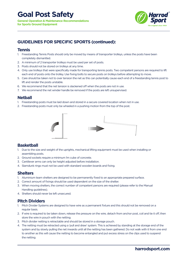

#### **GUIDELINES FOR SPECIFIC SPORTS (continued):** 1) Freestanding Tennis Posts showld only be moved by means of the posts have posts have posts have posts have posts have posts have posts have posts have posts have posts have posts have posts have posts have posts have po

#### **Figure 19**

1. Freestanding Tennis Posts should only be moved by means of transporter trolleys, unless the posts have been completely dismantled.

HARROD UK **www.harrod.uk.com**

- 2. A minimum of 2 transporter trolleys must be used per set of posts.
	- 3. Posts should not be stored on trolleys at any time.
- 4. Only use trolleys that were specifically made for transporting tennis posts. Two competent persons are required to lift each end of posts onto the trolley. Use fixing bolts to secure posts on trolleys before attempting to move.
	- 5. Care should be taken not to over tension the net as this can potentially cause each end of a freestanding tennis post to<br> lift and render the posts unstable.
- 6. We recommend that the net tension is slackened off when the posts are not in use. 6) We recommend that the net tension is slackened off when the posts are not in use. 7) We recommend the net winder handle be removed if the posts are left unsupervised.
	- 7. We recommend the net winder handle be removed if the posts are left unsupervised.

#### **Netball** Netball

- 1. Freestanding posts must be laid down and stored in a secure covered location when not in use.
- 2. Freestanding posts must only be wheeled in a pushing motion from the top of the post. 2) Freestanding posts must only be wheeled in a pushing motion from the top of the post.



## Basketball **Basketball**

- 1) Due to the size and weight of the uprights, mechanical lifting equipment must be used when installing 1. Due to the size and weight of the uprights, mechanical lifting equipment must be used when installing or assembling posts.
- 2) Ground sockets require a minimum 1m cube of concrete. 2. Ground sockets require a minimum 1m cube of concrete.
- 3) Cantilever arms can only be height adjusted before installation. 3. Cantilever arms can only be height adjusted before installation.
- 4) Slamdunk rings must not be used with standard wooden boards and fixing. 4. Slamdunk rings must not be used with standard wooden boards and fixing.

#### Shelters **Shelters**

- 1) Aluminium team shelters are designed to be permanently fixed to an appropriate prepared surface. 1. Aluminium team shelters are designed to be permanently fixed to an appropriate prepared surface.
- 2) Correct amount of fixings should be used dependent on the size of the shelter. 2. Correct amount of fixings should be used dependent on the size of the shelter.
- 3) When moving shelters the correct number of competent persons are required (please refer to the 3. When moving shelters, the correct number of competent persons are required (please refer to the Manual Manumig guidelines).<br>Cheltere ebeudelines is in left w Handling guidelines).
- 4) Shelters should never be left unsecured. 4. Shelters should never be left unsecured.

#### **Pitch Dividers**

- 1. Pitch Divider Systems are designed to have wire as a permanent fixture and this should not be removed on a 1) Pitch Divider Systems are designed to have wire as a permanent fixture and this should not be removed to have removed to have removed to have removed to have removed to have removed to have removed to have removed to ha regular basis.
	- 2. If wire is required to be taken down, release the pressure on the wire, detach from anchor post, coil and tie it off, then store the wire in pouch with the netting. The mass of the post, coil and an anchor post, coil and an
		- 3. Pitch divider netting is retractable and should be stored in a storage pouch.

excess stress stress stress stress stress on the network  $\mathcal{L}_{\mathcal{A}}$ 

4. The netting must be retracted using a 'pull and draw' system. This is achieved by standing at the storage end of the system and by slowly pulling the net inwards until all the netting has been gathered. Do not walk with it from one end to another as this will cause the netting to become entangled and put excess stress on the clips used to suspend<br>. Do not walk with it from one end to another as this will cause the network will cause the network will cause the network will cause the network will cause the network will cause the network will cause the network will caus the netting.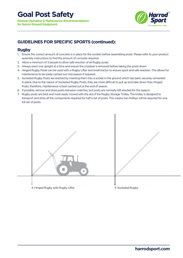

## **GUIDELINES FOR SPECIFIC SPORTS (continued):**

#### **Rugby**

- 1. Ensure the correct amount of concrete is in place for the sockets before assembling posts. Please refer to your product assembly instructions to find the amount of concrete required.
- 2. Allow a minimum of 3 people to allow safe erection of all Rugby posts.
- 3. Always erect one upright at a time and ensure the crossbar is removed before taking the posts down.
- 4. Hinged Rugby Posts can be used with a Rugby Lifter and small tractor to ensure quick and safe erection. This allows for maintenance to be easily carried out mid-season if required.
- 5. Socketed Rugby Posts are erected by inserting them into a socket in the ground which has been securely cemented in place. Due to the nature of Socketed Rugby Posts, they are more difficult to put up and take down than Hinged Posts, therefore, maintenance is best carried out at the end of season.
- 6. If possible, remove and store posts between matches, but posts are normally left erected for the season.
- 7. Rugby posts are best and most easily moved with the aid of the Rugby Storage Trolley. The trolley is designed to transport and store all the components required for half a set of posts. This means two trolleys will be required for one full set of posts.

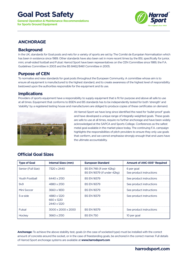## **Goal Post Safety**

**General Operation & Maintenance Recommendations for Sports Ground Equipment**



### **ANCHORAGE**

#### **Background**

In the UK, standards for Goal posts and nets for a variety of sports are set by The Comité de Européan Normalisation which has been in existence since 1989. Other standards have also been set in more recent times by the BSI, specifically for junior, mini, small-sided football and Futsal. Harrod Sport have been representatives on the CEN Committee since 1989, the F.A. Guidelines Committee in 2003 and the BS 8462/8461 Committee in 2005.

#### **Purpose of CEN**

To normalise and raise standards for goal posts throughout the European Community. A committee whose aim is to ensure all equipment is manufactured to the highest standard, and to create awareness of the highest level of responsibility bestowed upon the authorities responsible for the equipment and its use.

#### **Implications**

Providers of sports equipment have a responsibility to supply equipment that is fit for purpose and above all safe to use at all times. Equipment that conforms to BSEN and BS standards has to be independently tested for both 'strength' and 'stability' by a registered testing house and manufacturers are obliged to produce copies of these certificates on demand.



At Harrod Sport we have long since identified the need for 'bullet proof' goals and have developed a unique range of integrally-weighted goals. These goals are safe to use at all times, require no further anchorage and have been widely acknowledged at the SAPCA and Sports College. Conferences as the safest metal goal available in the market place today. The continuing F.A. campaign highlights the responsibilities of pitch providers to ensure they only use goals that conform, and we cannot emphasise strongly enough that end users have the ultimate accountability.

### **Official Goal Sizes**

| <b>Type of Goal</b> | <b>Internal Sizes (mm)</b>               | <b>European Standard</b>                                | <b>Amount of ANC-005* Required</b>     |
|---------------------|------------------------------------------|---------------------------------------------------------|----------------------------------------|
| Senior (Full Size)  | 7320 x 2440                              | BS EN 748 (if over 42kg)<br>BS EN 16579 (if under 42kg) | 6 per goal<br>See product instructions |
| Youth Football      | 6440 x 2130                              | <b>BS EN 16579</b>                                      | See product instructions               |
| 9 <sub>v</sub> 9    | 4880 x 2130                              | <b>BS EN 16579</b>                                      | See product instructions               |
| Mini Soccer         | 3660 x 1830                              | <b>BS EN 16579</b>                                      | See product instructions               |
| 5-a-side            | 4880 x 1220<br>660 x 1220<br>2440 x 1220 | <b>BS FN 16579</b>                                      | See product instructions               |
| Futsal              | 3000 x 2000 x 2000                       | <b>BS EN 16579</b>                                      | See product instructions               |
| Hockey              | 3660 x 2130                              | <b>BS EN 750</b>                                        | 10 per goal                            |

**Anchorage:** To achieve the above stability test, goals (in the case of socketed type) must be installed with the correct amount of concrete around the socket, or in the case of freestanding goals, be anchored in the correct manner. Full details of Harrod Sport anchorage systems are available at **www.harrodsport.com**